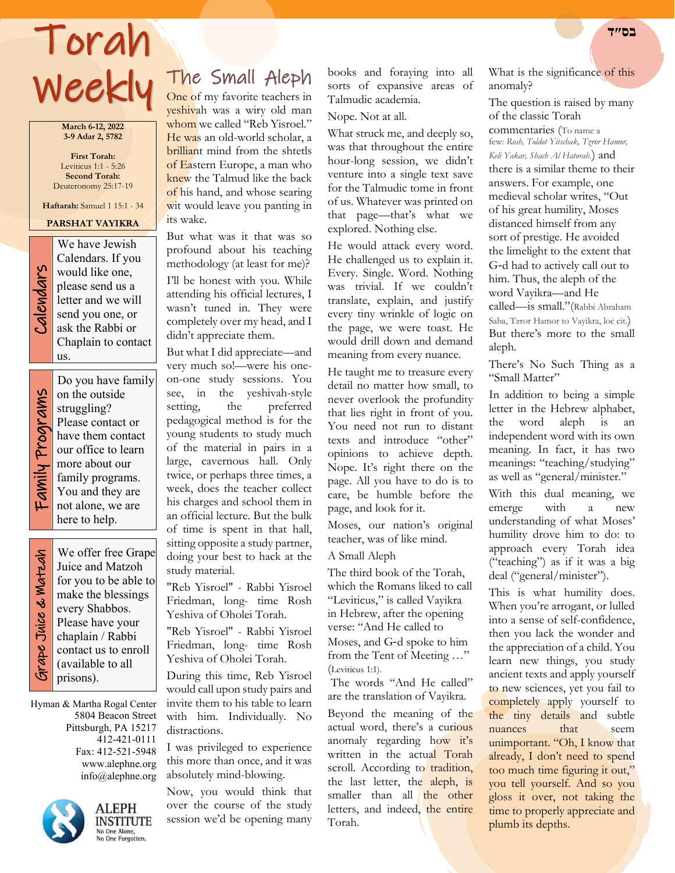# Torah **בס״ד**  Weekly

**March 6-12, 2022 3-9 Adar 2, 5782**

**First Torah:** Leviticus 1:1 - 5:26 **Second Torah:**  Deuteronomy 25:17-19

**Haftarah:** Samuel 1 15:1 - 34

## **PARSHAT VAYIKRA**



We have Jewish<br>Calendars. If you<br>would like one,<br>please send us a<br>letter and we will<br>send you one, or<br>ask the Rabbi or Calendars. If you would like one, please send us a letter and we will send you one, or ask the Rabbi or Chaplain to contact us.

Family Programs Family Programs

Do you have family on the outside struggling? Please contact or have them contact our office to learn more about our family programs. You and they are not alone, we are here to help.

 Grape Juice & Matzah Grape Juice & Watzah

We offer free Grape Juice and Matzoh for you to be able to make the blessings every Shabbos. Please have your chaplain / Rabbi contact us to enroll (available to all prisons).

Hyman & Martha Rogal Center 5804 Beacon Street Pittsburgh, PA 15217 412-421-0111 Fax: 412-521-5948 www.alephne.org info@alephne.org



**ALEPH INSTITUTE** No One Alone,<br>No One Forgotten.

The Small Aleph

One of my favorite teachers in yeshivah was a wiry old man whom we called "Reb Yisroel." He was an old-world scholar, a brilliant mind from the shtetls of Eastern Europe, a man who knew the Talmud like the back of his hand, and whose searing wit would leave you panting in its wake.

But what was it that was so profound about his teaching methodology (at least for me)?

I'll be honest with you. While attending his official lectures, I wasn't tuned in. They were completely over my head, and I didn't appreciate them.

But what I did appreciate—and very much so!—were his oneon-one study sessions. You see, in the yeshivah-style setting, the preferred pedagogical method is for the young students to study much of the material in pairs in a large, cavernous hall. Only twice, or perhaps three times, a week, does the teacher collect his charges and school them in an official lecture. But the bulk of time is spent in that hall, sitting opposite a study partner, doing your best to hack at the study material.

"Reb Yisroel" - Rabbi Yisroel Friedman, long- time Rosh Yeshiva of Oholei Torah.

"Reb Yisroel" - Rabbi Yisroel Friedman, long- time Rosh Yeshiva of Oholei Torah.

During this time, Reb Yisroel would call upon study pairs and invite them to his table to learn with him. Individually. No distractions.

I was privileged to experience this more than once, and it was absolutely mind-blowing.

Now, you would think that over the course of the study session we'd be opening many books and foraying into all sorts of expansive areas of Talmudic academia.

Nope. Not at all.

What struck me, and deeply so, was that throughout the entire hour-long session, we didn't venture into a single text save for the Talmudic tome in front of us. Whatever was printed on that page—that's what we explored. Nothing else.

He would attack every word. He challenged us to explain it. Every. Single. Word. Nothing was trivial. If we couldn't translate, explain, and justify every tiny wrinkle of logic on the page, we were toast. He would drill down and demand meaning from every nuance.

He taught me to treasure every detail no matter how small, to never overlook the profundity that lies right in front of you. You need not run to distant texts and introduce "other" opinions to achieve depth. Nope. It's right there on the page. All you have to do is to care, be humble before the page, and look for it.

Moses, our nation's original teacher, was of like mind.

#### A Small Aleph

The third book of the Torah, which the Romans liked to call "Leviticus," is called Vayikra in Hebrew, after the opening verse: "And He called to Moses, and G‑d spoke to him from the Tent of Meeting …" (Leviticus 1:1).

The words "And He called" are the translation of Vayikra.

Beyond the meaning of the actual word, there's a curious anomaly regarding how it's written in the actual Torah scroll. According to tradition, the last letter, the aleph, is smaller than all the other letters, and indeed, the entire Torah.

What is the significance of this anomaly?

The question is raised by many of the classic Torah

commentaries (To name a few: *Rosh, Toldot Yitschak, Tzror Hamor, Keli Yakar, Shach Al Hatorah*.) and there is a similar theme to their answers. For example, one medieval scholar writes, "Out of his great humility, Moses distanced himself from any sort of prestige. He avoided the limelight to the extent that G‑d had to actively call out to him. Thus, the aleph of the word Vayikra—and He called—is small."(Rabbi Abraham Saba, Tzror Hamor to Vayikra, loc cit.) But there's more to the small aleph.

There's No Such Thing as a "Small Matter"

In addition to being a simple letter in the Hebrew alphabet, the word aleph is an independent word with its own meaning. In fact, it has two meanings: "teaching/studying" as well as "general/minister."

With this dual meaning, we emerge with a new understanding of what Moses' humility drove him to do: to approach every Torah idea ("teaching") as if it was a big deal ("general/minister").

This is what humility does. When you're arrogant, or lulled into a sense of self-confidence, then you lack the wonder and the appreciation of a child. You learn new things, you study ancient texts and apply yourself to new sciences, yet you fail to completely apply yourself to the tiny details and subtle<br>nuances that seem nuances that seem unimportant. "Oh, I know that already, I don't need to spend too much time figuring it out," you tell yourself. And so you gloss it over, not taking the time to properly appreciate and plumb its depths.